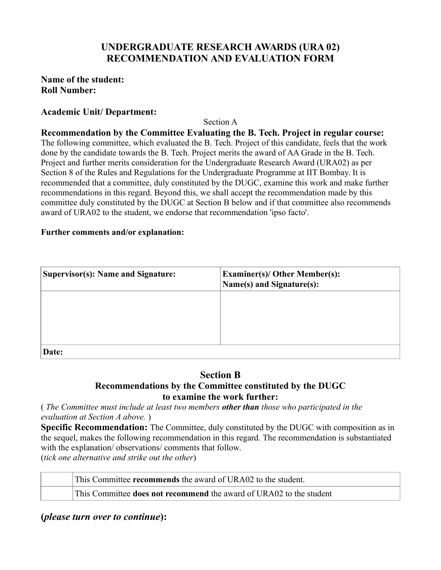# **UNDERGRADUATE RESEARCH AWARDS (URA 02) RECOMMENDATION AND EVALUATION FORM**

## **Name of the student: Roll Number:**

## **Academic Unit/ Department:**

Section A

**Recommendation by the Committee Evaluating the B. Tech. Project in regular course:** The following committee, which evaluated the B. Tech. Project of this candidate, feels that the work done by the candidate towards the B. Tech. Project merits the award of AA Grade in the B. Tech. Project and further merits consideration for the Undergraduate Research Award (URA02) as per Section 8 of the Rules and Regulations for the Undergraduate Programme at IIT Bombay. It is recommended that a committee, duly constituted by the DUGC, examine this work and make further recommendations in this regard. Beyond this, we shall accept the recommendation made by this committee duly constituted by the DUGC at Section B below and if that committee also recommends award of URA02 to the student, we endorse that recommendation 'ipso facto'.

### **Further comments and/or explanation:**

| Supervisor(s): Name and Signature: | <b>Examiner(s)/ Other Member(s):</b><br>Name(s) and Signature(s): |
|------------------------------------|-------------------------------------------------------------------|
|                                    |                                                                   |
|                                    |                                                                   |
| Date:                              |                                                                   |

## **Section B Recommendations by the Committee constituted by the DUGC to examine the work further:**

( *The Committee must include at least two members other than those who participated in the evaluation at Section A above.* )

**Specific Recommendation:** The Committee, duly constituted by the DUGC with composition as in the sequel, makes the following recommendation in this regard. The recommendation is substantiated with the explanation/ observations/ comments that follow. (*tick one alternative and strike out the other*)

This Committee **recommends** the award of URA02 to the student.

This Committee **does not recommend** the award of URA02 to the student

**(***please turn over to continue***):**